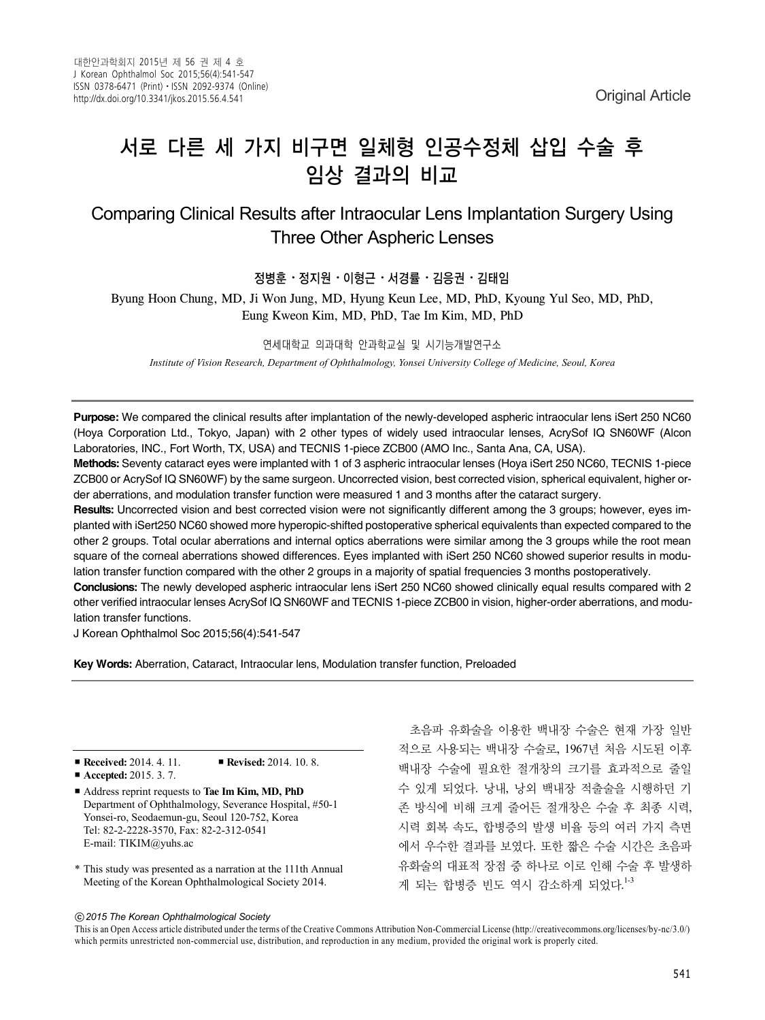# 서로 다른 세 가지 비구면 일체형 인공수정체 삽입 수술 후 임상 결과의 비교

# Comparing Clinical Results after Intraocular Lens Implantation Surgery Using Three Other Aspheric Lenses

### 정병훈⋅정지원⋅이형근⋅서경률⋅김응권⋅김태임

Byung Hoon Chung, MD, Ji Won Jung, MD, Hyung Keun Lee, MD, PhD, Kyoung Yul Seo, MD, PhD, Eung Kweon Kim, MD, PhD, Tae Im Kim, MD, PhD

#### 연세대학교 의과대학 안과학교실 및 시기능개발연구소

*Institute of Vision Research, Department of Ophthalmology, Yonsei University College of Medicine, Seoul, Korea*

**Purpose:** We compared the clinical results after implantation of the newly-developed aspheric intraocular lens iSert 250 NC60 (Hoya Corporation Ltd., Tokyo, Japan) with 2 other types of widely used intraocular lenses, AcrySof IQ SN60WF (Alcon Laboratories, INC., Fort Worth, TX, USA) and TECNIS 1-piece ZCB00 (AMO Inc., Santa Ana, CA, USA).

**Methods:** Seventy cataract eyes were implanted with 1 of 3 aspheric intraocular lenses (Hoya iSert 250 NC60, TECNIS 1-piece ZCB00 or AcrySof IQ SN60WF) by the same surgeon. Uncorrected vision, best corrected vision, spherical equivalent, higher order aberrations, and modulation transfer function were measured 1 and 3 months after the cataract surgery.

**Results:** Uncorrected vision and best corrected vision were not significantly different among the 3 groups; however, eyes implanted with iSert250 NC60 showed more hyperopic-shifted postoperative spherical equivalents than expected compared to the other 2 groups. Total ocular aberrations and internal optics aberrations were similar among the 3 groups while the root mean square of the corneal aberrations showed differences. Eyes implanted with iSert 250 NC60 showed superior results in modulation transfer function compared with the other 2 groups in a majority of spatial frequencies 3 months postoperatively.

**Conclusions:** The newly developed aspheric intraocular lens iSert 250 NC60 showed clinically equal results compared with 2 other verified intraocular lenses AcrySof IQ SN60WF and TECNIS 1-piece ZCB00 in vision, higher-order aberrations, and modulation transfer functions.

J Korean Ophthalmol Soc 2015;56(4):541-547

**Key Words:** Aberration, Cataract, Intraocular lens, Modulation transfer function, Preloaded

#### ■ **Received:** 2014. 4. 11. ■ **Revised:** 2014. 10. 8.

- **Accepted:** 2015. 3. 7.
- Address reprint requests to **Tae Im Kim, MD, PhD** Department of Ophthalmology, Severance Hospital, #50-1 Yonsei-ro, Seodaemun-gu, Seoul 120-752, Korea Tel: 82-2-2228-3570, Fax: 82-2-312-0541 E-mail: TIKIM@yuhs.ac
- \* This study was presented as a narration at the 111th Annual Meeting of the Korean Ophthalmological Society 2014.

초음파 유화술을 이용한 백내장 수술은 현재 가장 일반 적으로 사용되는 백내장 수술로, 1967년 처음 시도된 이후 백내장 수술에 필요한 절개창의 크기를 효과적으로 줄일 수 있게 되었다. 낭내, 낭외 백내장 적출술을 시행하던 기 존 방식에 비해 크게 줄어든 절개창은 수술 후 최종 시력, 시력 회복 속도, 합병증의 발생 비율 등의 여러 가지 측면 에서 우수한 결과를 보였다. 또한 짧은 수술 시간은 초음파 유화술의 대표적 장점 중 하나로 이로 인해 수술 후 발생하 게 되는 합병증 빈도 역시 감소하게 되었다. 1-3

#### ⓒ*2015 The Korean Ophthalmological Society*

This is an Open Access article distributed under the terms of the Creative Commons Attribution Non-Commercial License (http://creativecommons.org/licenses/by-nc/3.0/) which permits unrestricted non-commercial use, distribution, and reproduction in any medium, provided the original work is properly cited.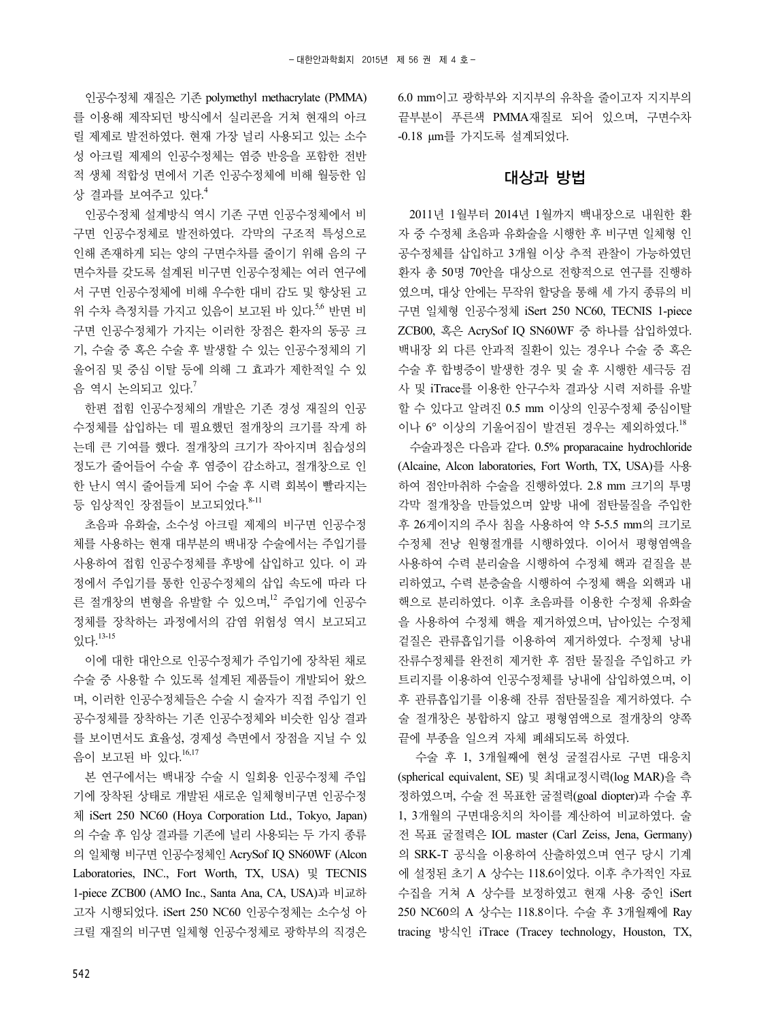인공수정체 재질은 기존 polymethyl methacrylate (PMMA) 를 이용해 제작되던 방식에서 실리콘을 거쳐 현재의 아크 릴 제제로 발전하였다. 현재 가장 널리 사용되고 있는 소수 성 아크릴 제제의 인공수정체는 염증 반응을 포함한 전반 적 생체 적합성 면에서 기존 인공수정체에 비해 월등한 임 상 결과를 보여주고 있다. 4

인공수정체 설계방식 역시 기존 구면 인공수정체에서 비 구면 인공수정체로 발전하였다. 각막의 구조적 특성으로 인해 존재하게 되는 양의 구면수차를 줄이기 위해 음의 구 면수차를 갖도록 설계된 비구면 인공수정체는 여러 연구에 서 구면 인공수정체에 비해 우수한 대비 감도 및 향상된 고 위 수차 측정치를 가지고 있음이 보고된 바 있다. 5,6 반면 비 구면 인공수정체가 가지는 이러한 장점은 환자의 동공 크 기, 수술 중 혹은 수술 후 발생할 수 있는 인공수정체의 기 울어짐 및 중심 이탈 등에 의해 그 효과가 제한적일 수 있 음 역시 논의되고 있다. $^7$ 

한편 접힘 인공수정체의 개발은 기존 경성 재질의 인공 수정체를 삽입하는 데 필요했던 절개창의 크기를 작게 하 는데 큰 기여를 했다. 절개창의 크기가 작아지며 침습성의 정도가 줄어들어 수술 후 염증이 감소하고, 절개창으로 인 한 난시 역시 줄어들게 되어 수술 후 시력 회복이 빨라지는 등 임상적인 장점들이 보고되었다. 8-11

초음파 유화술, 소수성 아크릴 제제의 비구면 인공수정 체를 사용하는 현재 대부분의 백내장 수술에서는 주입기를 사용하여 접힘 인공수정체를 후방에 삽입하고 있다. 이 과 정에서 주입기를 통한 인공수정체의 삽입 속도에 따라 다 른 절개창의 변형을 유발할 수 있으며,<sup>12</sup> 주입기에 인공수 정체를 장착하는 과정에서의 감염 위험성 역시 보고되고 있다. 13-15

이에 대한 대안으로 인공수정체가 주입기에 장착된 채로 수술 중 사용할 수 있도록 설계된 제품들이 개발되어 왔으 며, 이러한 인공수정체들은 수술 시 술자가 직접 주입기 인 공수정체를 장착하는 기존 인공수정체와 비슷한 임상 결과 를 보이면서도 효율성, 경제성 측면에서 장점을 지닐 수 있 음이 보고된 바 있다.<sup>16,17</sup>

본 연구에서는 백내장 수술 시 일회용 인공수정체 주입 기에 장착된 상태로 개발된 새로운 일체형비구면 인공수정 체 iSert 250 NC60 (Hoya Corporation Ltd., Tokyo, Japan) 의 수술 후 임상 결과를 기존에 널리 사용되는 두 가지 종류 의 일체형 비구면 인공수정체인 AcrySof IQ SN60WF (Alcon Laboratories, INC., Fort Worth, TX, USA) 및 TECNIS 1-piece ZCB00 (AMO Inc., Santa Ana, CA, USA)과 비교하 고자 시행되었다. iSert 250 NC60 인공수정체는 소수성 아 크릴 재질의 비구면 일체형 인공수정체로 광학부의 직경은

6.0 mm이고 광학부와 지지부의 유착을 줄이고자 지지부의 끝부분이 푸른색 PMMA재질로 되어 있으며, 구면수차 -0.18 μm를 가지도록 설계되었다.

### 대상과 방법

2011년 1월부터 2014년 1월까지 백내장으로 내원한 환 자 중 수정체 초음파 유화술을 시행한 후 비구면 일체형 인 공수정체를 삽입하고 3개월 이상 추적 관찰이 가능하였던 환자 총 50명 70안을 대상으로 전향적으로 연구를 진행하 였으며, 대상 안에는 무작위 할당을 통해 세 가지 종류의 비 구면 일체형 인공수정체 iSert 250 NC60, TECNIS 1-piece ZCB00, 혹은 AcrySof IQ SN60WF 중 하나를 삽입하였다. 백내장 외 다른 안과적 질환이 있는 경우나 수술 중 혹은 수술 후 합병증이 발생한 경우 및 술 후 시행한 세극등 검 사 및 iTrace를 이용한 안구수차 결과상 시력 저하를 유발 할 수 있다고 알려진 0.5 mm 이상의 인공수정체 중심이탈 이나 6° 이상의 기울어짐이 발견된 경우는 제외하였다. 18

수술과정은 다음과 같다. 0.5% proparacaine hydrochloride (Alcaine, Alcon laboratories, Fort Worth, TX, USA)를 사용 하여 점안마취하 수술을 진행하였다. 2.8 mm 크기의 투명 각막 절개창을 만들었으며 앞방 내에 점탄물질을 주입한 후 26게이지의 주사 침을 사용하여 약 5-5.5 mm의 크기로 수정체 전낭 원형절개를 시행하였다. 이어서 평형염액을 사용하여 수력 분리술을 시행하여 수정체 핵과 겉질을 분 리하였고, 수력 분층술을 시행하여 수정체 핵을 외핵과 내 핵으로 분리하였다. 이후 초음파를 이용한 수정체 유화술 을 사용하여 수정체 핵을 제거하였으며, 남아있는 수정체 겉질은 관류흡입기를 이용하여 제거하였다. 수정체 낭내 잔류수정체를 완전히 제거한 후 점탄 물질을 주입하고 카 트리지를 이용하여 인공수정체를 낭내에 삽입하였으며, 이 후 관류흡입기를 이용해 잔류 점탄물질을 제거하였다. 수 술 절개창은 봉합하지 않고 평형염액으로 절개창의 양쪽 끝에 부종을 일으켜 자체 폐쇄되도록 하였다.

수술 후 1, 3개월째에 현성 굴절검사로 구면 대응치 (spherical equivalent, SE) 및 최대교정시력(log MAR)을 측 정하였으며, 수술 전 목표한 굴절력(goal diopter)과 수술 후 1, 3개월의 구면대응치의 차이를 계산하여 비교하였다. 술 전 목표 굴절력은 IOL master (Carl Zeiss, Jena, Germany) 의 SRK-T 공식을 이용하여 산출하였으며 연구 당시 기계 에 설정된 초기 A 상수는 118.6이었다. 이후 추가적인 자료 수집을 거쳐 A 상수를 보정하였고 현재 사용 중인 iSert 250 NC60의 A 상수는 118.8이다. 수술 후 3개월째에 Ray tracing 방식인 iTrace (Tracey technology, Houston, TX,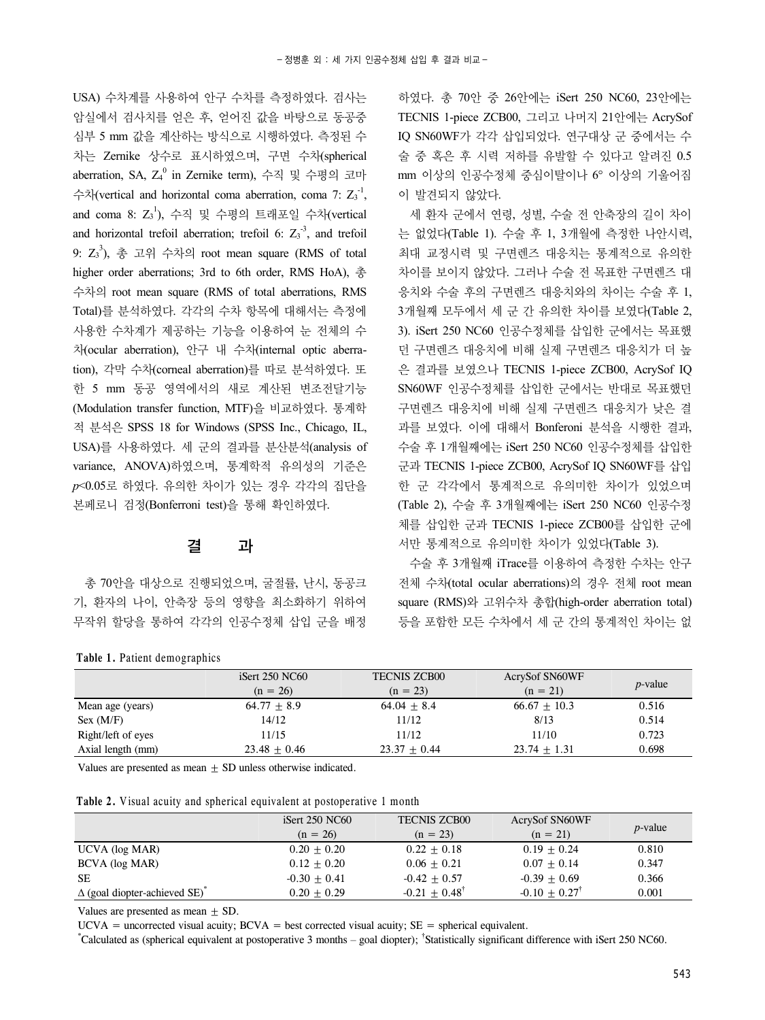USA) 수차계를 사용하여 안구 수차를 측정하였다. 검사는 암실에서 검사치를 얻은 후, 얻어진 값을 바탕으로 동공중 심부 5 mm 값을 계산하는 방식으로 시행하였다. 측정된 수 차는 Zernike 상수로 표시하였으며, 구면 수차(spherical aberration, SA, Z4<sup>0</sup> in Zernike term), 수직 및 수평의 코마 수차(vertical and horizontal coma aberration, coma 7:  $Z_3^{-1}$ , and coma 8:  $Z_3^1$ ), 수직 및 수평의 트래포일 수차(vertical and horizontal trefoil aberration; trefoil 6:  $Z_3^{\text{-}3}$ , and trefoil 9:  $Z_3^3$ ), 총 고위 수차의 root mean square (RMS of total higher order aberrations; 3rd to 6th order, RMS HoA), 총 수차의 root mean square (RMS of total aberrations, RMS Total)를 분석하였다. 각각의 수차 항목에 대해서는 측정에 사용한 수차계가 제공하는 기능을 이용하여 눈 전체의 수 차(ocular aberration), 안구 내 수차(internal optic aberration), 각막 수차(corneal aberration)를 따로 분석하였다. 또 한 5 mm 동공 영역에서의 새로 계산된 변조전달기능 (Modulation transfer function, MTF)을 비교하였다. 통계학 적 분석은 SPSS 18 for Windows (SPSS Inc., Chicago, IL, USA)를 사용하였다. 세 군의 결과를 분산분석(analysis of variance, ANOVA)하였으며, 통계학적 유의성의 기준은 *p*<0.05로 하였다. 유의한 차이가 있는 경우 각각의 집단을 본페로니 검정(Bonferroni test)을 통해 확인하였다.

### 결 과

총 70안을 대상으로 진행되었으며, 굴절률, 난시, 동공크 기, 환자의 나이, 안축장 등의 영향을 최소화하기 위하여 무작위 할당을 통하여 각각의 인공수정체 삽입 군을 배정

#### **Table 1.** Patient demographics

하였다. 총 70안 중 26안에는 iSert 250 NC60, 23안에는 TECNIS 1-piece ZCB00, 그리고 나머지 21안에는 AcrySof IQ SN60WF가 각각 삽입되었다. 연구대상 군 중에서는 수 술 중 혹은 후 시력 저하를 유발할 수 있다고 알려진 0.5 mm 이상의 인공수정체 중심이탈이나 6° 이상의 기울어짐 이 발견되지 않았다.

세 환자 군에서 연령, 성별, 수술 전 안축장의 길이 차이 는 없었다(Table 1). 수술 후 1, 3개월에 측정한 나안시력, 최대 교정시력 및 구면렌즈 대응치는 통계적으로 유의한 차이를 보이지 않았다. 그러나 수술 전 목표한 구면렌즈 대 응치와 수술 후의 구면렌즈 대응치와의 차이는 수술 후 1, 3개월째 모두에서 세 군 간 유의한 차이를 보였다(Table 2, 3). iSert 250 NC60 인공수정체를 삽입한 군에서는 목표했 던 구면렌즈 대응치에 비해 실제 구면렌즈 대응치가 더 높 은 결과를 보였으나 TECNIS 1-piece ZCB00, AcrySof IQ SN60WF 인공수정체를 삽입한 군에서는 반대로 목표했던 구면렌즈 대응치에 비해 실제 구면렌즈 대응치가 낮은 결 과를 보였다. 이에 대해서 Bonferoni 분석을 시행한 결과, 수술 후 1개월째에는 iSert 250 NC60 인공수정체를 삽입한 군과 TECNIS 1-piece ZCB00, AcrySof IQ SN60WF를 삽입 한 군 각각에서 통계적으로 유의미한 차이가 있었으며 (Table 2), 수술 후 3개월째에는 iSert 250 NC60 인공수정 체를 삽입한 군과 TECNIS 1-piece ZCB00를 삽입한 군에 서만 통계적으로 유의미한 차이가 있었다(Table 3).

수술 후 3개월째 iTrace를 이용하여 측정한 수차는 안구 전체 수차(total ocular aberrations)의 경우 전체 root mean square (RMS)와 고위수차 총합(high-order aberration total) 등을 포함한 모든 수차에서 세 군 간의 통계적인 차이는 없

|                    | iSert $250$ NC $60$ | <b>TECNIS ZCB00</b> | <b>AcrySof SN60WF</b> |                 |
|--------------------|---------------------|---------------------|-----------------------|-----------------|
|                    | $(n = 26)$          | $(n = 23)$          | $(n = 21)$            | <i>p</i> -value |
| Mean age (years)   | $64.77 + 8.9$       | $64.04 + 8.4$       | $66.67 + 10.3$        | 0.516           |
| Sex (M/F)          | 14/12               | 11/12               | 8/13                  | 0.514           |
| Right/left of eyes | 11/15               | 11/12               | 11/10                 | 0.723           |
| Axial length (mm)  | $23.48 + 0.46$      | $23.37 + 0.44$      | $23.74 + 1.31$        | 0.698           |
|                    |                     |                     |                       |                 |

Values are presented as mean  $\pm$  SD unless otherwise indicated.

**Table 2.** Visual acuity and spherical equivalent at postoperative 1 month

|                                                  | iSert $250$ NC $60$ | <b>TECNIS ZCB00</b>      | <b>AcrySof SN60WF</b>       |                 |
|--------------------------------------------------|---------------------|--------------------------|-----------------------------|-----------------|
|                                                  | $(n = 26)$          | $(n = 23)$               | $(n = 21)$                  | <i>p</i> -value |
| UCVA (log MAR)                                   | $0.20 + 0.20$       | $0.22 + 0.18$            | $0.19 + 0.24$               | 0.810           |
| BCVA (log MAR)                                   | $0.12 + 0.20$       | $0.06 + 0.21$            | $0.07 + 0.14$               | 0.347           |
| <b>SE</b>                                        | $-0.30 + 0.41$      | $-0.42 + 0.57$           | $-0.39 + 0.69$              | 0.366           |
| $\Delta$ (goal diopter-achieved SE) <sup>*</sup> | $0.20 + 0.29$       | $-0.21 + 0.48^{\dagger}$ | $-0.10 + 0.27$ <sup>T</sup> | 0.001           |

Values are presented as mean  $+$  SD.

 $UCVA$  = uncorrected visual acuity;  $BCVA$  = best corrected visual acuity;  $SE$  = spherical equivalent.

\* Calculated as (spherical equivalent at postoperative 3 months – goal diopter); † Statistically significant difference with iSert 250 NC60.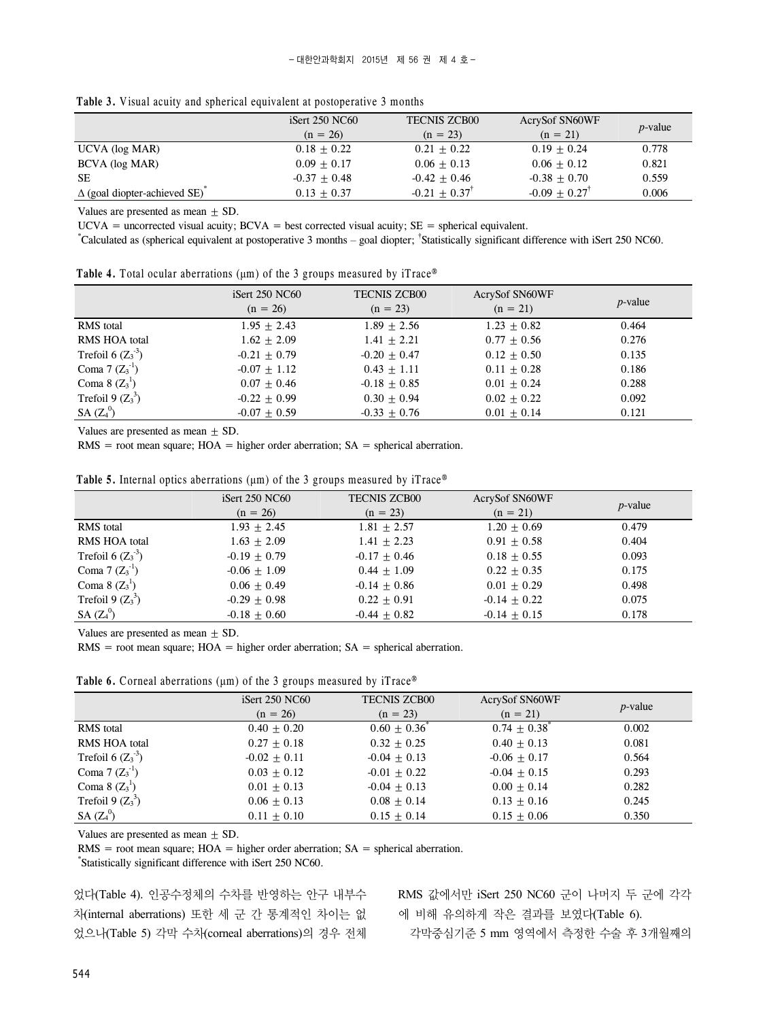|  |  |  |  | Table 3. Visual acuity and spherical equivalent at postoperative 3 months |  |
|--|--|--|--|---------------------------------------------------------------------------|--|
|--|--|--|--|---------------------------------------------------------------------------|--|

|                                     | $i$ Sert 250 NC60 | <b>TECNIS ZCB00</b>         | <b>AcrySof SN60WF</b>       |                 |
|-------------------------------------|-------------------|-----------------------------|-----------------------------|-----------------|
|                                     | $(n = 26)$        | $(n = 23)$                  | $(n = 21)$                  | <i>p</i> -value |
| UCVA (log MAR)                      | $0.18 + 0.22$     | $0.21 + 0.22$               | $0.19 + 0.24$               | 0.778           |
| BCVA (log MAR)                      | $0.09 + 0.17$     | $0.06 + 0.13$               | $0.06 + 0.12$               | 0.821           |
| <b>SE</b>                           | $-0.37 + 0.48$    | $-0.42 + 0.46$              | $-0.38 + 0.70$              | 0.559           |
| $\Delta$ (goal diopter-achieved SE) | $0.13 + 0.37$     | $-0.21 + 0.37$ <sup>T</sup> | $-0.09 + 0.27$ <sup>T</sup> | 0.006           |

Values are presented as mean  $\pm$  SD.

 $UCVA$  = uncorrected visual acuity;  $BCVA$  = best corrected visual acuity;  $SE$  = spherical equivalent.

\* Calculated as (spherical equivalent at postoperative 3 months – goal diopter; † Statistically significant difference with iSert 250 NC60.

|  |  |  | <b>Table 4.</b> Total ocular aberrations ( $\mu$ m) of the 3 groups measured by iTrace <sup>®</sup> |  |  |  |  |  |  |
|--|--|--|-----------------------------------------------------------------------------------------------------|--|--|--|--|--|--|
|--|--|--|-----------------------------------------------------------------------------------------------------|--|--|--|--|--|--|

|                               | iSert $250$ NC $60$<br>$(n = 26)$ | <b>TECNIS ZCB00</b><br>$(n = 23)$ | <b>AcrySof SN60WF</b><br>$(n = 21)$ | $p$ -value |
|-------------------------------|-----------------------------------|-----------------------------------|-------------------------------------|------------|
| <b>RMS</b> total              | $1.95 + 2.43$                     | $1.89 + 2.56$                     | $1.23 + 0.82$                       | 0.464      |
| RMS HOA total                 | $1.62 + 2.09$                     | $1.41 + 2.21$                     | $0.77 + 0.56$                       | 0.276      |
| Trefoil 6 $(Z_3^{\text{-3}})$ | $-0.21 + 0.79$                    | $-0.20 + 0.47$                    | $0.12 + 0.50$                       | 0.135      |
| Coma 7 $(Z_3^{-1})$           | $-0.07 + 1.12$                    | $0.43 + 1.11$                     | $0.11 + 0.28$                       | 0.186      |
| Coma 8 $(Z_3^1)$              | $0.07 + 0.46$                     | $-0.18 + 0.85$                    | $0.01 + 0.24$                       | 0.288      |
| Trefoil 9 $(Z_3^3)$           | $-0.22 + 0.99$                    | $0.30 + 0.94$                     | $0.02 + 0.22$                       | 0.092      |
| SA $(Z_4^0)$                  | $-0.07 + 0.59$                    | $-0.33 + 0.76$                    | $0.01 + 0.14$                       | 0.121      |

Values are presented as mean  $\pm$  SD.

 $RMS = root$  mean square;  $HOA = higher order$  aberration;  $SA = spherical$  aberration.

|  | <b>Table 5.</b> Internal optics aberrations ( $\mu$ m) of the 3 groups measured by iTrace® |  |  |  |
|--|--------------------------------------------------------------------------------------------|--|--|--|
|--|--------------------------------------------------------------------------------------------|--|--|--|

|                      | <b>iSert 250 NC60</b> | <b>TECNIS ZCB00</b> | <b>AcrySof SN60WF</b> |            |
|----------------------|-----------------------|---------------------|-----------------------|------------|
|                      | $(n = 26)$            | $(n = 23)$          | $(n = 21)$            | $p$ -value |
| <b>RMS</b> total     | $1.93 + 2.45$         | $1.81 + 2.57$       | $1.20 + 0.69$         | 0.479      |
| <b>RMS HOA total</b> | $1.63 + 2.09$         | $1.41 + 2.23$       | $0.91 + 0.58$         | 0.404      |
| Trefoil 6 $(Z_3^3)$  | $-0.19 + 0.79$        | $-0.17 + 0.46$      | $0.18 + 0.55$         | 0.093      |
| Coma 7 $(Z_3^1)$     | $-0.06 + 1.09$        | $0.44 + 1.09$       | $0.22 + 0.35$         | 0.175      |
| Coma 8 $(Z_3^1)$     | $0.06 + 0.49$         | $-0.14 + 0.86$      | $0.01 + 0.29$         | 0.498      |
| Trefoil 9 $(Z_3^3)$  | $-0.29 + 0.98$        | $0.22 + 0.91$       | $-0.14 + 0.22$        | 0.075      |
| SA $(Z_4^0)$         | $-0.18 + 0.60$        | $-0.44 + 0.82$      | $-0.14 + 0.15$        | 0.178      |

Values are presented as mean  $+$  SD.

 $RMS = root$  mean square;  $HOA = higher order$  aberration;  $SA = spherical$  aberration.

**Table 6.** Corneal aberrations (μm) of the 3 groups measured by iTrace®

|                               | iSert $250$ NC $60$ | <b>TECNIS ZCB00</b> | <b>AcrySof SN60WF</b> | $p$ -value |
|-------------------------------|---------------------|---------------------|-----------------------|------------|
|                               | $(n = 26)$          | $(n = 23)$          | $(n = 21)$            |            |
| <b>RMS</b> total              | $0.40 + 0.20$       | $0.60 + 0.36^*$     | $0.74 + 0.38^{\circ}$ | 0.002      |
| <b>RMS HOA total</b>          | $0.27 + 0.18$       | $0.32 + 0.25$       | $0.40 + 0.13$         | 0.081      |
| Trefoil 6 $(Z_3^{\text{-}3})$ | $-0.02 + 0.11$      | $-0.04 + 0.13$      | $-0.06 + 0.17$        | 0.564      |
| Coma $7 (Z_3^{-1})$           | $0.03 + 0.12$       | $-0.01 + 0.22$      | $-0.04 + 0.15$        | 0.293      |
| Coma 8 $(Z_3^1)$              | $0.01 + 0.13$       | $-0.04 + 0.13$      | $0.00 + 0.14$         | 0.282      |
| Trefoil 9 $(Z_3^3)$           | $0.06 + 0.13$       | $0.08 + 0.14$       | $0.13 + 0.16$         | 0.245      |
| $SA (Z_4^0)$                  | $0.11 + 0.10$       | $0.15 + 0.14$       | $0.15 + 0.06$         | 0.350      |

Values are presented as mean  $\pm$  SD.

 $RMS = root$  mean square;  $HOA = higher order$  aberration;  $SA = spherical$  aberration.

\* Statistically significant difference with iSert 250 NC60.

었다(Table 4). 인공수정체의 수차를 반영하는 안구 내부수 차(internal aberrations) 또한 세 군 간 통계적인 차이는 없 었으나(Table 5) 각막 수차(corneal aberrations)의 경우 전체

RMS 값에서만 iSert 250 NC60 군이 나머지 두 군에 각각 에 비해 유의하게 작은 결과를 보였다(Table 6).

각막중심기준 5 mm 영역에서 측정한 수술 후 3개월째의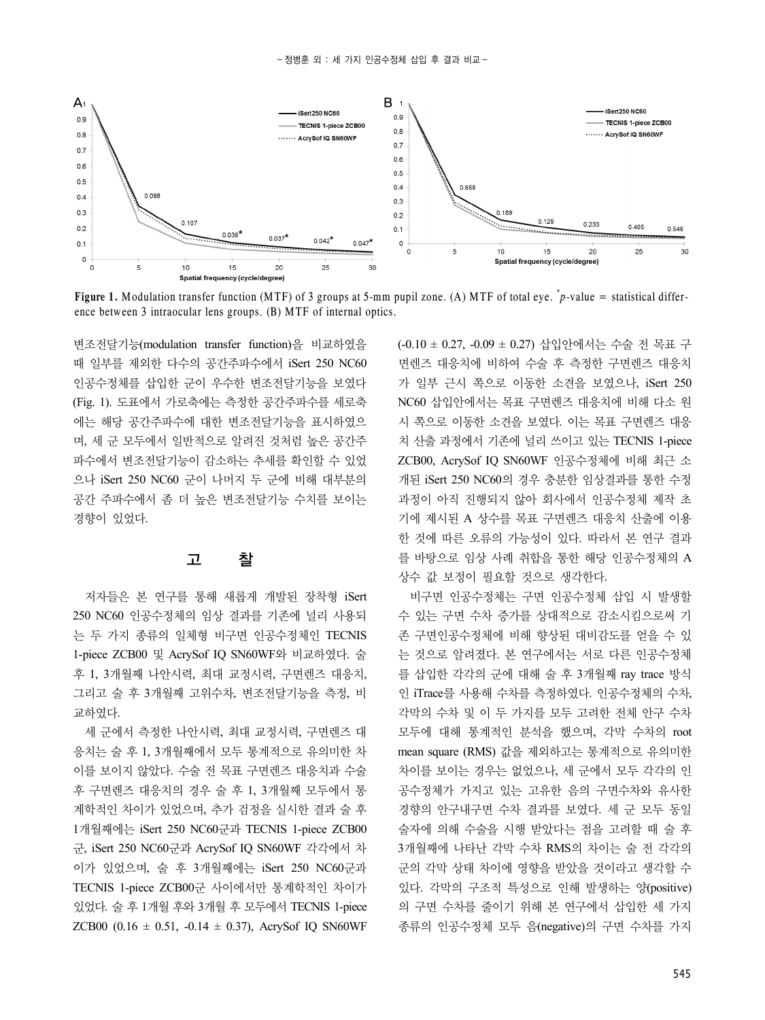

**Figure 1.** Modulation transfer function (MTF) of 3 groups at 5-mm pupil zone. (A) MTF of total eye.  $^*p$ -value = statistical difference between 3 intraocular lens groups. (B) MTF of internal optics.

변조전달기능(modulation transfer function)을 비교하였을 때 일부를 제외한 다수의 공간주파수에서 iSert 250 NC60 인공수정체를 삽입한 군이 우수한 변조전달기능을 보였다 (Fig. 1). 도표에서 가로축에는 측정한 공간주파수를 세로축 에는 해당 공간주파수에 대한 변조전달기능을 표시하였으 며, 세 군 모두에서 일반적으로 알려진 것처럼 높은 공간주 파수에서 변조전달기능이 감소하는 추세를 확인할 수 있었 으나 iSert 250 NC60 군이 나머지 두 군에 비해 대부분의 공간 주파수에서 좀 더 높은 변조전달기능 수치를 보이는 경향이 있었다.

## 고 찰

저자들은 본 연구를 통해 새롭게 개발된 장착형 iSert 250 NC60 인공수정체의 임상 결과를 기존에 널리 사용되 는 두 가지 종류의 일체형 비구면 인공수정체인 TECNIS 1-piece ZCB00 및 AcrySof IQ SN60WF와 비교하였다. 술 후 1, 3개월째 나안시력, 최대 교정시력, 구면렌즈 대응치, 그리고 술 후 3개월째 고위수차, 변조전달기능을 측정, 비 교하였다.

세 군에서 측정한 나안시력, 최대 교정시력, 구면렌즈 대 응치는 술 후 1, 3개월째에서 모두 통계적으로 유의미한 차 이를 보이지 않았다. 수술 전 목표 구면렌즈 대응치과 수술 후 구면렌즈 대응치의 경우 술 후 1, 3개월째 모두에서 통 계학적인 차이가 있었으며, 추가 검정을 실시한 결과 술 후 1개월째에는 iSert 250 NC60군과 TECNIS 1-piece ZCB00 군, iSert 250 NC60군과 AcrySof IQ SN60WF 각각에서 차 이가 있었으며, 술 후 3개월째에는 iSert 250 NC60군과 TECNIS 1-piece ZCB00군 사이에서만 통계학적인 차이가 있었다. 술 후 1개월 후와 3개월 후 모두에서 TECNIS 1-piece ZCB00 (0.16  $\pm$  0.51, -0.14  $\pm$  0.37), AcrySof IQ SN60WF

(-0.10 ± 0.27, -0.09 ± 0.27) 삽입안에서는 수술 전 목표 구 면렌즈 대응치에 비하여 수술 후 측정한 구면렌즈 대응치 가 일부 근시 쪽으로 이동한 소견을 보였으나, iSert 250 NC60 삽입안에서는 목표 구면렌즈 대응치에 비해 다소 원 시 쪽으로 이동한 소견을 보였다. 이는 목표 구면렌즈 대응 치 산출 과정에서 기존에 널리 쓰이고 있는 TECNIS 1-piece ZCB00, AcrySof IQ SN60WF 인공수정체에 비해 최근 소 개된 iSert 250 NC60의 경우 충분한 임상결과를 통한 수정 과정이 아직 진행되지 않아 회사에서 인공수정체 제작 초 기에 제시된 A 상수를 목표 구면렌즈 대응치 산출에 이용 한 것에 따른 오류의 가능성이 있다. 따라서 본 연구 결과 를 바탕으로 임상 사례 취합을 통한 해당 인공수정체의 A 상수 값 보정이 필요할 것으로 생각한다.

비구면 인공수정체는 구면 인공수정체 삽입 시 발생할 수 있는 구면 수차 증가를 상대적으로 감소시킴으로써 기 존 구면인공수정체에 비해 향상된 대비감도를 얻을 수 있 는 것으로 알려졌다. 본 연구에서는 서로 다른 인공수정체 를 삽입한 각각의 군에 대해 술 후 3개월째 ray trace 방식 인 iTrace를 사용해 수차를 측정하였다. 인공수정체의 수차, 각막의 수차 및 이 두 가지를 모두 고려한 전체 안구 수차 모두에 대해 통계적인 분석을 했으며, 각막 수차의 root mean square (RMS) 값을 제외하고는 통계적으로 유의미한 차이를 보이는 경우는 없었으나, 세 군에서 모두 각각의 인 공수정체가 가지고 있는 고유한 음의 구면수차와 유사한 경향의 안구내구면 수차 결과를 보였다. 세 군 모두 동일 술자에 의해 수술을 시행 받았다는 점을 고려할 때 술 후 3개월째에 나타난 각막 수차 RMS의 차이는 술 전 각각의 군의 각막 상태 차이에 영향을 받았을 것이라고 생각할 수 있다. 각막의 구조적 특성으로 인해 발생하는 양(positive) 의 구면 수차를 줄이기 위해 본 연구에서 삽입한 세 가지 종류의 인공수정체 모두 음(negative)의 구면 수차를 가지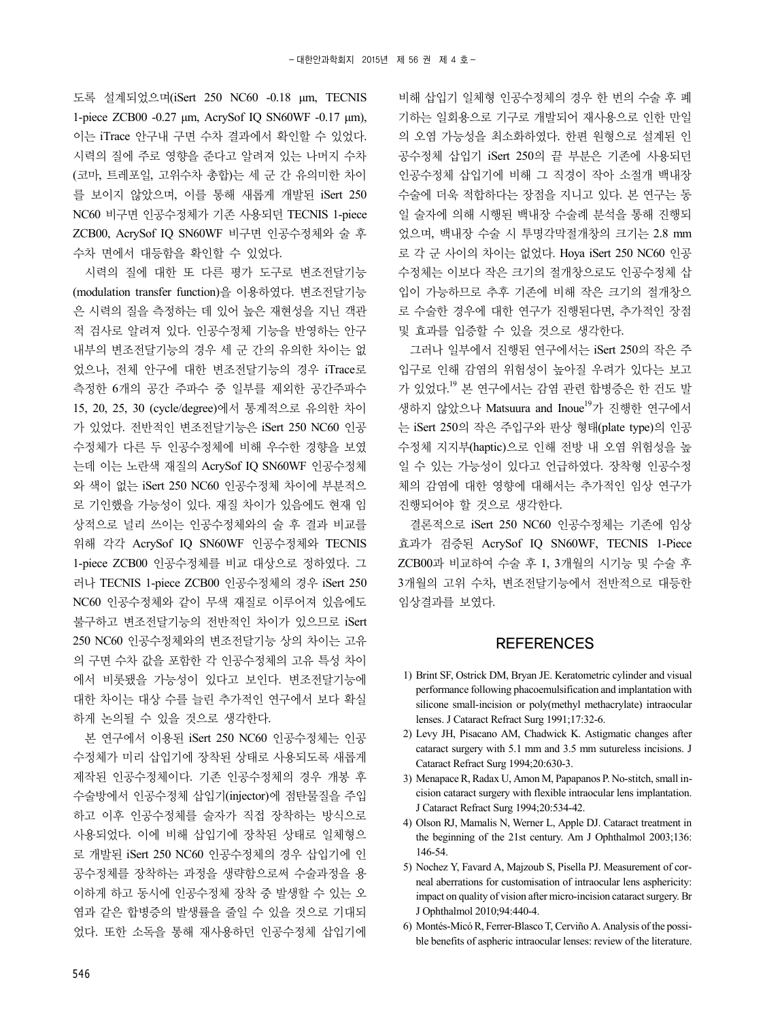도록 설계되었으며(iSert 250 NC60 -0.18 μm, TECNIS 1-piece ZCB00 -0.27 μm, AcrySof IQ SN60WF -0.17 μm), 이는 iTrace 안구내 구면 수차 결과에서 확인할 수 있었다. 시력의 질에 주로 영향을 준다고 알려져 있는 나머지 수차 (코마, 트레포일, 고위수차 총합)는 세 군 간 유의미한 차이 를 보이지 않았으며, 이를 통해 새롭게 개발된 iSert 250 NC60 비구면 인공수정체가 기존 사용되던 TECNIS 1-piece ZCB00, AcrySof IQ SN60WF 비구면 인공수정체와 술 후 수차 면에서 대등함을 확인할 수 있었다.

시력의 질에 대한 또 다른 평가 도구로 변조전달기능 (modulation transfer function)을 이용하였다. 변조전달기능 은 시력의 질을 측정하는 데 있어 높은 재현성을 지닌 객관 적 검사로 알려져 있다. 인공수정체 기능을 반영하는 안구 내부의 변조전달기능의 경우 세 군 간의 유의한 차이는 없 었으나, 전체 안구에 대한 변조전달기능의 경우 iTrace로 측정한 6개의 공간 주파수 중 일부를 제외한 공간주파수 15, 20, 25, 30 (cycle/degree)에서 통계적으로 유의한 차이 가 있었다. 전반적인 변조전달기능은 iSert 250 NC60 인공 수정체가 다른 두 인공수정체에 비해 우수한 경향을 보였 는데 이는 노란색 재질의 AcrySof IQ SN60WF 인공수정체 와 색이 없는 iSert 250 NC60 인공수정체 차이에 부분적으 로 기인했을 가능성이 있다. 재질 차이가 있음에도 현재 임 상적으로 널리 쓰이는 인공수정체와의 술 후 결과 비교를 위해 각각 AcrySof IQ SN60WF 인공수정체와 TECNIS 1-piece ZCB00 인공수정체를 비교 대상으로 정하였다. 그 러나 TECNIS 1-piece ZCB00 인공수정체의 경우 iSert 250 NC60 인공수정체와 같이 무색 재질로 이루어져 있음에도 불구하고 변조전달기능의 전반적인 차이가 있으므로 iSert 250 NC60 인공수정체와의 변조전달기능 상의 차이는 고유 의 구면 수차 값을 포함한 각 인공수정체의 고유 특성 차이 에서 비롯됐을 가능성이 있다고 보인다. 변조전달기능에 대한 차이는 대상 수를 늘린 추가적인 연구에서 보다 확실 하게 논의될 수 있을 것으로 생각한다.

본 연구에서 이용된 iSert 250 NC60 인공수정체는 인공 수정체가 미리 삽입기에 장착된 상태로 사용되도록 새롭게 제작된 인공수정체이다. 기존 인공수정체의 경우 개봉 후 수술방에서 인공수정체 삽입기(injector)에 점탄물질을 주입 하고 이후 인공수정체를 술자가 직접 장착하는 방식으로 사용되었다. 이에 비해 삽입기에 장착된 상태로 일체형으 로 개발된 iSert 250 NC60 인공수정체의 경우 삽입기에 인 공수정체를 장착하는 과정을 생략함으로써 수술과정을 용 이하게 하고 동시에 인공수정체 장착 중 발생할 수 있는 오 염과 같은 합병증의 발생률을 줄일 수 있을 것으로 기대되 었다. 또한 소독을 통해 재사용하던 인공수정체 삽입기에

비해 삽입기 일체형 인공수정체의 경우 한 번의 수술 후 폐 기하는 일회용으로 기구로 개발되어 재사용으로 인한 만일 의 오염 가능성을 최소화하였다. 한편 원형으로 설계된 인 공수정체 삽입기 iSert 250의 끝 부분은 기존에 사용되던 인공수정체 삽입기에 비해 그 직경이 작아 소절개 백내장 수술에 더욱 적합하다는 장점을 지니고 있다. 본 연구는 동 일 술자에 의해 시행된 백내장 수술례 분석을 통해 진행되 었으며, 백내장 수술 시 투명각막절개창의 크기는 2.8 mm 로 각 군 사이의 차이는 없었다. Hoya iSert 250 NC60 인공 수정체는 이보다 작은 크기의 절개창으로도 인공수정체 삽 입이 가능하므로 추후 기존에 비해 작은 크기의 절개창으 로 수술한 경우에 대한 연구가 진행된다면, 추가적인 장점 및 효과를 입증할 수 있을 것으로 생각한다.

그러나 일부에서 진행된 연구에서는 iSert 250의 작은 주 입구로 인해 감염의 위험성이 높아질 우려가 있다는 보고 가 있었다.<sup>19</sup> 본 연구에서는 감염 관련 합병증은 한 건도 발 생하지 않았으나 Matsuura and Inoue<sup>19</sup>가 진행한 연구에서 는 iSert 250의 작은 주입구와 판상 형태(plate type)의 인공 수정체 지지부(haptic)으로 인해 전방 내 오염 위험성을 높 일 수 있는 가능성이 있다고 언급하였다. 장착형 인공수정 체의 감염에 대한 영향에 대해서는 추가적인 임상 연구가 진행되어야 할 것으로 생각한다.

결론적으로 iSert 250 NC60 인공수정체는 기존에 임상 효과가 검증된 AcrySof IQ SN60WF, TECNIS 1-Piece ZCB00과 비교하여 수술 후 1, 3개월의 시기능 및 수술 후 3개월의 고위 수차, 변조전달기능에서 전반적으로 대등한 임상결과를 보였다.

#### **REFERENCES**

- 1) Brint SF, Ostrick DM, Bryan JE. Keratometric cylinder and visual performance following phacoemulsification and implantation with silicone small-incision or poly(methyl methacrylate) intraocular lenses. J Cataract Refract Surg 1991;17:32-6.
- 2) Levy JH, Pisacano AM, Chadwick K. Astigmatic changes after cataract surgery with 5.1 mm and 3.5 mm sutureless incisions. J Cataract Refract Surg 1994;20:630-3.
- 3) Menapace R, Radax U, Amon M, Papapanos P. No-stitch, small incision cataract surgery with flexible intraocular lens implantation. J Cataract Refract Surg 1994;20:534-42.
- 4) Olson RJ, Mamalis N, Werner L, Apple DJ. Cataract treatment in the beginning of the 21st century. Am J Ophthalmol 2003;136: 146-54.
- 5) Nochez Y, Favard A, Majzoub S, Pisella PJ. Measurement of corneal aberrations for customisation of intraocular lens asphericity: impact on quality of vision after micro-incision cataract surgery. Br J Ophthalmol 2010;94:440-4.
- 6) Montés-Micó R, Ferrer-Blasco T, Cerviño A. Analysis of the possible benefits of aspheric intraocular lenses: review of the literature.